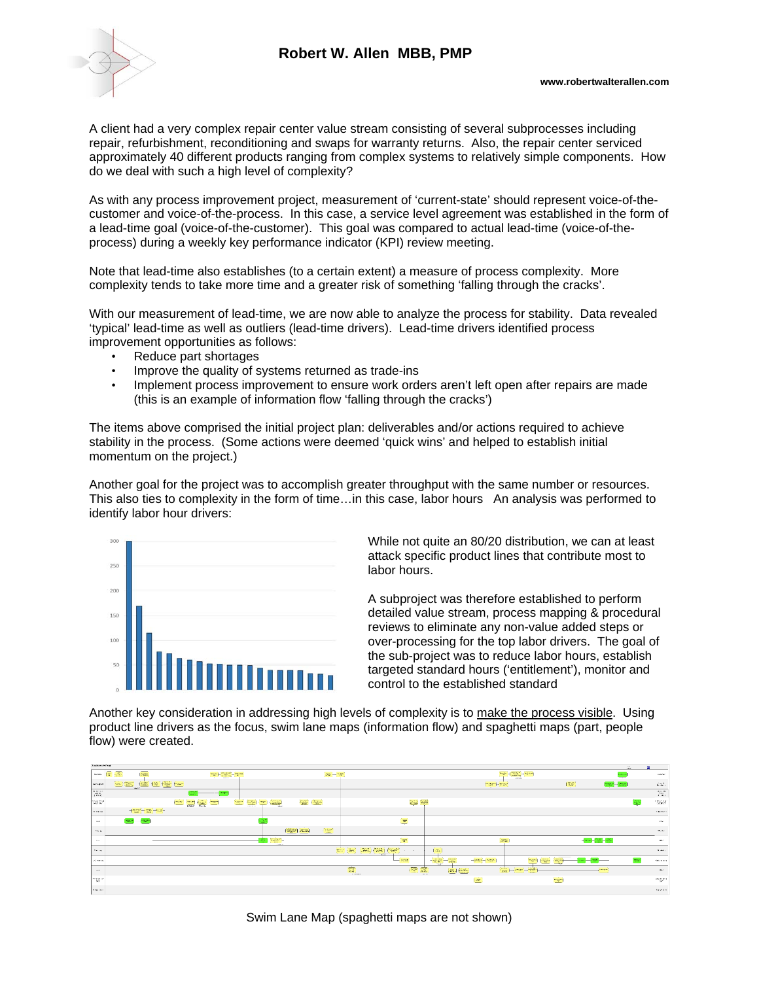## **Robert W. Allen MBB, PMP**



A client had a very complex repair center value stream consisting of several subprocesses including repair, refurbishment, reconditioning and swaps for warranty returns. Also, the repair center serviced approximately 40 different products ranging from complex systems to relatively simple components. How do we deal with such a high level of complexity?

As with any process improvement project, measurement of 'current-state' should represent voice-of-thecustomer and voice-of-the-process. In this case, a service level agreement was established in the form of a lead-time goal (voice-of-the-customer). This goal was compared to actual lead-time (voice-of-theprocess) during a weekly key performance indicator (KPI) review meeting.

Note that lead-time also establishes (to a certain extent) a measure of process complexity. More complexity tends to take more time and a greater risk of something 'falling through the cracks'.

With our measurement of lead-time, we are now able to analyze the process for stability. Data revealed 'typical' lead-time as well as outliers (lead-time drivers). Lead-time drivers identified process improvement opportunities as follows:

- Reduce part shortages
- Improve the quality of systems returned as trade-ins
- Implement process improvement to ensure work orders aren't left open after repairs are made (this is an example of information flow 'falling through the cracks')

The items above comprised the initial project plan: deliverables and/or actions required to achieve stability in the process. (Some actions were deemed 'quick wins' and helped to establish initial momentum on the project.)

Another goal for the project was to accomplish greater throughput with the same number or resources. This also ties to complexity in the form of time…in this case, labor hours An analysis was performed to identify labor hour drivers:



While not quite an 80/20 distribution, we can at least attack specific product lines that contribute most to labor hours.

A subproject was therefore established to perform detailed value stream, process mapping & procedural reviews to eliminate any non-value added steps or over-processing for the top labor drivers. The goal of the sub-project was to reduce labor hours, establish targeted standard hours ('entitlement'), monitor and control to the established standard

Another key consideration in addressing high levels of complexity is to make the process visible. Using product line drivers as the focus, swim lane maps (information flow) and spaghetti maps (part, people flow) were created.

| <b>Britannich Printer</b><br>$\Delta\mathcal{R}_0$                                                                                                     |                                                                                      |                                                                                                                                                                                                                                                                                                                                                                                              |                               |                                                                                                                                                                                  |                                                                                                                                                                                                                                             |                                                                                                                                                                                                                                                                                                                                                               |                                           |                           |                                                                                                                                                                                                                                                                                                                                                                                                          |                |                 |                                       |                |                                                                                                                                                                                                                                                                                                                                                                                                                                                                     |                               |                          |               |                                 |
|--------------------------------------------------------------------------------------------------------------------------------------------------------|--------------------------------------------------------------------------------------|----------------------------------------------------------------------------------------------------------------------------------------------------------------------------------------------------------------------------------------------------------------------------------------------------------------------------------------------------------------------------------------------|-------------------------------|----------------------------------------------------------------------------------------------------------------------------------------------------------------------------------|---------------------------------------------------------------------------------------------------------------------------------------------------------------------------------------------------------------------------------------------|---------------------------------------------------------------------------------------------------------------------------------------------------------------------------------------------------------------------------------------------------------------------------------------------------------------------------------------------------------------|-------------------------------------------|---------------------------|----------------------------------------------------------------------------------------------------------------------------------------------------------------------------------------------------------------------------------------------------------------------------------------------------------------------------------------------------------------------------------------------------------|----------------|-----------------|---------------------------------------|----------------|---------------------------------------------------------------------------------------------------------------------------------------------------------------------------------------------------------------------------------------------------------------------------------------------------------------------------------------------------------------------------------------------------------------------------------------------------------------------|-------------------------------|--------------------------|---------------|---------------------------------|
| <b>SIGHT</b>                                                                                                                                           | <b>图 题</b><br><b>Create</b>                                                          | -                                                                                                                                                                                                                                                                                                                                                                                            |                               | $\label{eq:1} \text{exp} \left[ -\frac{1}{\sqrt{2}} \sum_{i=1}^{n} \frac{1}{\sqrt{2}} \right] = \text{exp} \left[ -\frac{1}{\sqrt{2}} \sum_{i=1}^{n} \frac{1}{\sqrt{2}} \right]$ |                                                                                                                                                                                                                                             |                                                                                                                                                                                                                                                                                                                                                               | $\omega_{\rm R} = \omega_{\rm R}$         |                           |                                                                                                                                                                                                                                                                                                                                                                                                          |                |                 |                                       |                | $\label{eq:10} \frac{1}{\sqrt{2}}\frac{1}{\sqrt{2}}\left[\frac{1}{\sqrt{2}}\frac{\sqrt{2}}{\sqrt{2}}\frac{\sqrt{2}}{\sqrt{2}}\frac{\sqrt{2}}{\sqrt{2}}\frac{\sqrt{2}}{\sqrt{2}}\frac{\sqrt{2}}{\sqrt{2}}\frac{\sqrt{2}}{\sqrt{2}}\frac{\sqrt{2}}{\sqrt{2}}\frac{\sqrt{2}}{\sqrt{2}}\frac{\sqrt{2}}{\sqrt{2}}\frac{\sqrt{2}}{\sqrt{2}}\frac{\sqrt{2}}{\sqrt{2}}\frac{\sqrt{2}}{\sqrt{2}}\frac{\sqrt{2}}{\sqrt{2}}\frac{\sqrt{2}}{\sqrt{2}}\frac{\sqrt{2}}{\sqrt{2}}$ |                               |                          | <b>Badwin</b> | <b>SAMP</b>                     |
| Tem Satisfied                                                                                                                                          | $\label{eq:1} \text{Area} = \left(\frac{1}{\sqrt{2}}\right)^{1/2} \text{Area}.$<br>. | <b>680 (6) (60) (100)</b>                                                                                                                                                                                                                                                                                                                                                                    |                               |                                                                                                                                                                                  |                                                                                                                                                                                                                                             |                                                                                                                                                                                                                                                                                                                                                               |                                           |                           |                                                                                                                                                                                                                                                                                                                                                                                                          |                |                 |                                       | mar-l-mar      |                                                                                                                                                                                                                                                                                                                                                                                                                                                                     | rge)                          | $[\exp(-i\pi\omega)]$    |               | $\sim$ $\sim$                   |
| $\begin{array}{c} \mathbf{B} \otimes \mathbf{B} \otimes \mathbf{B} \\ \mathbf{B} \otimes \mathbf{B} \otimes \mathbf{B} \otimes \mathbf{B} \end{array}$ |                                                                                      |                                                                                                                                                                                                                                                                                                                                                                                              | æ<br><b>Contract Contract</b> |                                                                                                                                                                                  |                                                                                                                                                                                                                                             |                                                                                                                                                                                                                                                                                                                                                               |                                           |                           |                                                                                                                                                                                                                                                                                                                                                                                                          |                |                 |                                       |                |                                                                                                                                                                                                                                                                                                                                                                                                                                                                     |                               |                          |               | $\frac{1}{2}$ and $\frac{1}{2}$ |
| haatar 1                                                                                                                                               |                                                                                      |                                                                                                                                                                                                                                                                                                                                                                                              | (주의 (음) 원기                    |                                                                                                                                                                                  | $\frac{\partial \mathcal{L}_{\mathcal{M}}}{\partial \mathcal{L}_{\mathcal{M}}}=\frac{\partial \mathcal{L}_{\mathcal{M}}}{\partial \mathcal{L}_{\mathcal{M}}}=\frac{\partial \mathcal{L}_{\mathcal{M}}}{\partial \mathcal{L}_{\mathcal{M}}}$ | $\frac{1}{\sqrt{2}}$                                                                                                                                                                                                                                                                                                                                          | $\sqrt{22}$                               |                           |                                                                                                                                                                                                                                                                                                                                                                                                          | 南 君            |                 |                                       |                |                                                                                                                                                                                                                                                                                                                                                                                                                                                                     |                               |                          |               | 10 miles                        |
| to think                                                                                                                                               |                                                                                      | $\frac{1}{2} \left( \frac{1}{2} \frac{1}{2} \frac{1}{2} \frac{1}{2} \frac{1}{2} \frac{1}{2} \frac{1}{2} \frac{1}{2} \frac{1}{2} \frac{1}{2} \frac{1}{2} \frac{1}{2} \frac{1}{2} \frac{1}{2} \frac{1}{2} \frac{1}{2} \frac{1}{2} \frac{1}{2} \frac{1}{2} \frac{1}{2} \frac{1}{2} \frac{1}{2} \frac{1}{2} \frac{1}{2} \frac{1}{2} \frac{1}{2} \frac{1}{2} \frac{1}{2} \frac{1}{2} \frac{1}{2}$ |                               |                                                                                                                                                                                  |                                                                                                                                                                                                                                             |                                                                                                                                                                                                                                                                                                                                                               |                                           |                           |                                                                                                                                                                                                                                                                                                                                                                                                          |                |                 |                                       |                |                                                                                                                                                                                                                                                                                                                                                                                                                                                                     |                               |                          |               | <b>FARM</b>                     |
| 1204                                                                                                                                                   | ದಾನ                                                                                  | <b>TOP</b>                                                                                                                                                                                                                                                                                                                                                                                   |                               |                                                                                                                                                                                  |                                                                                                                                                                                                                                             |                                                                                                                                                                                                                                                                                                                                                               |                                           |                           |                                                                                                                                                                                                                                                                                                                                                                                                          | $\mathbf{w}$   |                 |                                       |                |                                                                                                                                                                                                                                                                                                                                                                                                                                                                     |                               |                          |               | $-249$                          |
| <b>FALM</b>                                                                                                                                            |                                                                                      |                                                                                                                                                                                                                                                                                                                                                                                              |                               |                                                                                                                                                                                  |                                                                                                                                                                                                                                             |                                                                                                                                                                                                                                                                                                                                                               | <b>Fragment Decise 4</b><br>$\frac{1}{2}$ |                           |                                                                                                                                                                                                                                                                                                                                                                                                          |                |                 |                                       |                |                                                                                                                                                                                                                                                                                                                                                                                                                                                                     |                               |                          |               | 20100                           |
| $-$                                                                                                                                                    |                                                                                      |                                                                                                                                                                                                                                                                                                                                                                                              |                               |                                                                                                                                                                                  | late 1                                                                                                                                                                                                                                      | $\begin{picture}(20,20) \put(0,0){\line(1,0){10}} \put(15,0){\line(1,0){10}} \put(15,0){\line(1,0){10}} \put(15,0){\line(1,0){10}} \put(15,0){\line(1,0){10}} \put(15,0){\line(1,0){10}} \put(15,0){\line(1,0){10}} \put(15,0){\line(1,0){10}} \put(15,0){\line(1,0){10}} \put(15,0){\line(1,0){10}} \put(15,0){\line(1,0){10}} \put(15,0){\line(1$<br>$\sim$ |                                           |                           |                                                                                                                                                                                                                                                                                                                                                                                                          | (refer         |                 |                                       | come.          |                                                                                                                                                                                                                                                                                                                                                                                                                                                                     |                               | 4-122-88)                |               | uv.                             |
| 2012/07/18                                                                                                                                             |                                                                                      |                                                                                                                                                                                                                                                                                                                                                                                              |                               |                                                                                                                                                                                  |                                                                                                                                                                                                                                             |                                                                                                                                                                                                                                                                                                                                                               |                                           |                           | $\begin{bmatrix} \frac{1}{2} & \frac{1}{2} & \frac{1}{2} & \frac{1}{2} & \frac{1}{2} & \frac{1}{2} & \frac{1}{2} & \frac{1}{2} & \frac{1}{2} & \frac{1}{2} & \frac{1}{2} & \frac{1}{2} & \frac{1}{2} & \frac{1}{2} & \frac{1}{2} & \frac{1}{2} & \frac{1}{2} & \frac{1}{2} & \frac{1}{2} & \frac{1}{2} & \frac{1}{2} & \frac{1}{2} & \frac{1}{2} & \frac{1}{2} & \frac{1}{2} & \frac{1}{2} & \frac{1}{2$ | <b>COLLEGE</b> | as.             |                                       |                |                                                                                                                                                                                                                                                                                                                                                                                                                                                                     |                               |                          |               | 7.144                           |
| <b>ANTICOL</b>                                                                                                                                         |                                                                                      |                                                                                                                                                                                                                                                                                                                                                                                              |                               |                                                                                                                                                                                  |                                                                                                                                                                                                                                             |                                                                                                                                                                                                                                                                                                                                                               |                                           |                           | -                                                                                                                                                                                                                                                                                                                                                                                                        | astas.         | $-22$           |                                       | Harbur-History | $\frac{1}{2}$<br>$\gamma$                                                                                                                                                                                                                                                                                                                                                                                                                                           | $\equiv$<br><b>CONTRACTOR</b> |                          | <b>han</b>    | <b>CONTINUES</b>                |
| $\mathbf{u} \in \mathbb{R}$                                                                                                                            |                                                                                      |                                                                                                                                                                                                                                                                                                                                                                                              |                               |                                                                                                                                                                                  |                                                                                                                                                                                                                                             |                                                                                                                                                                                                                                                                                                                                                               |                                           | $\overline{\mathbb{C}^2}$ |                                                                                                                                                                                                                                                                                                                                                                                                          | (窗) 霜          | <b>Security</b> | $\lfloor$ and $\lfloor$ and $\lfloor$ |                | $\frac{1}{2} - \frac{1}{2} \left( \frac{1}{2} + \frac{1}{2} \right) - \frac{1}{2} \left( \frac{1}{2} + \frac{1}{2} \right)$                                                                                                                                                                                                                                                                                                                                         |                               | <b>COMPANY</b><br>$\sim$ |               | <b>CMI</b>                      |
| mager                                                                                                                                                  |                                                                                      |                                                                                                                                                                                                                                                                                                                                                                                              |                               |                                                                                                                                                                                  |                                                                                                                                                                                                                                             |                                                                                                                                                                                                                                                                                                                                                               |                                           |                           |                                                                                                                                                                                                                                                                                                                                                                                                          |                |                 | $\equiv$                              |                |                                                                                                                                                                                                                                                                                                                                                                                                                                                                     | $\frac{1}{2}$                 |                          |               | $\alpha_{\rm CMB}$              |
| A shifter                                                                                                                                              |                                                                                      |                                                                                                                                                                                                                                                                                                                                                                                              |                               |                                                                                                                                                                                  |                                                                                                                                                                                                                                             |                                                                                                                                                                                                                                                                                                                                                               |                                           |                           |                                                                                                                                                                                                                                                                                                                                                                                                          |                |                 |                                       |                |                                                                                                                                                                                                                                                                                                                                                                                                                                                                     |                               |                          |               | 24, 992                         |